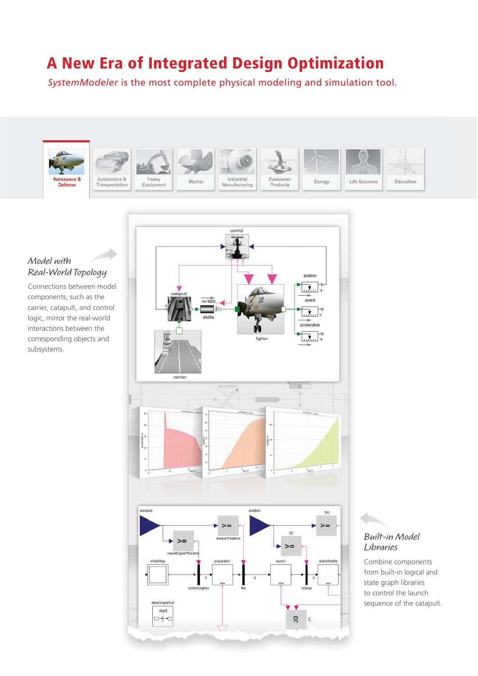# **A New Era of Integrated Design Optimization**

*SystemModeler* is the most complete physical modeling and simulation tool.



# **Model with Real-World Topology**

Connections between model components, such as the carrier, catapult, and control logic, mirror the real-world interactions between the corresponding objects and subsystems.



# **Built-in Model Libraries**

Combine components from built-in logical and state graph libraries to control the launch sequence of the catapult.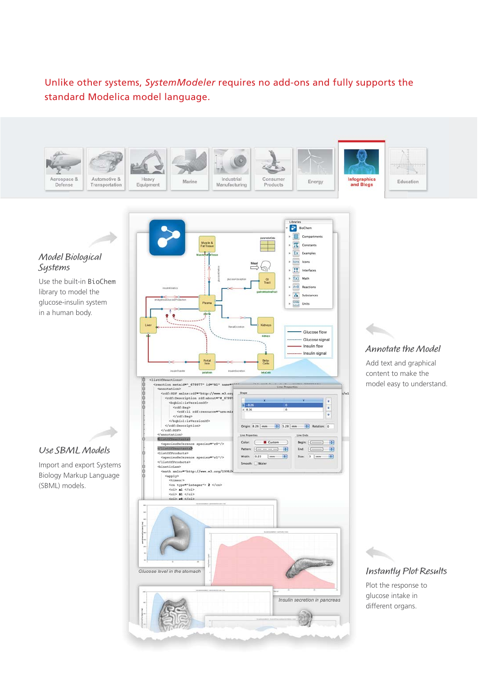Unlike other systems, *SystemModeler* requires no add-ons and fully supports the standard Modelica model language.





Use the built-in BioChem library to model the glucose-insulin system in a human body.

# **Use SBML Models**

Import and export Systems Biology Markup Language (SBML) models.





Add text and graphical content to make the model easy to understand.



Plot the response to glucose intake in different organs.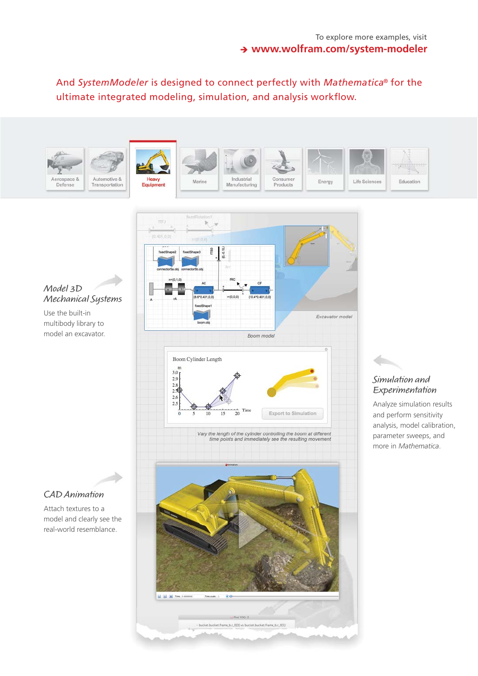And *SystemModeler* is designed to connect perfectly with *Mathematica*® for the ultimate integrated modeling, simulation, and analysis workflow.





# **Model 3D Mechanical Systems**

Use the built-in multibody library to model an excavator.

# **CAD Animation**

Attach textures to a model and clearly see the real-world resemblance.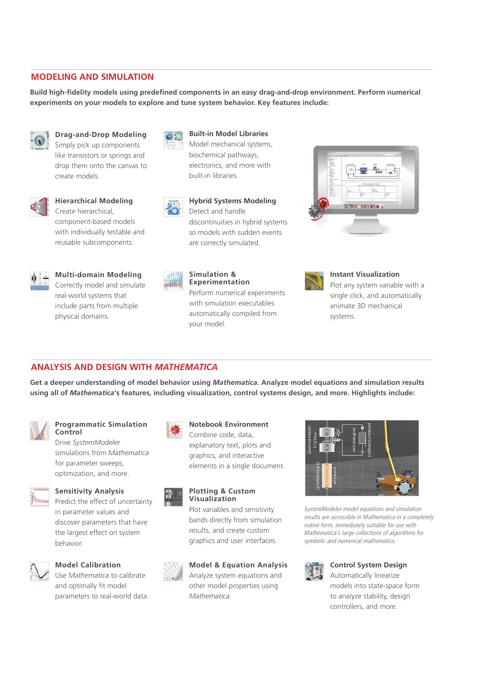### **MODELING AND SIMULATION**

Build high-fidelity models using predefined components in an easy drag-and-drop environment. Perform numerical **experiments on your models to explore and tune system behavior. Key features include:**



**Drag-and-Drop Modeling**

Simply pick up components like transistors or springs and drop them onto the canvas to create models.



**Hierarchical Modeling**

Create hierarchical, component-based models with individually testable and reusable subcomponents.



#### **Multi-domain Modeling** Correctly model and simulate

real-world systems that include parts from multiple physical domains.



**Built-in Model Libraries**

Model mechanical systems, biochemical pathways, electronics, and more with built-in libraries.



**ABUIL** 

**Hybrid Systems Modeling** Detect and handle discontinuities in hybrid systems so models with sudden events are correctly simulated.

Perform numerical experiments with simulation executables automatically compiled from

**Simulation & Experimentation**

your model.



### **Instant Visualization**

Plot any system variable with a single click, and automatically animate 3D mechanical systems.

# **ANALYSIS AND DESIGN WITH** *MATHEMATICA*

**Get a deeper understanding of model behavior using** *Mathematica***. Analyze model equations and simulation results using all of** *Mathematica***'s features, including visualization, control systems design, and more. Highlights include:**



#### **Programmatic Simulation Control**

Drive *SystemModeler* simulations from *Mathematica* for parameter sweeps, optimization, and more.



### **Sensitivity Analysis**

Predict the effect of uncertainty in parameter values and discover parameters that have the largest effect on system behavior.



### **Model Calibration**

Use *Mathematica* to calibrate and optimally fit model parameters to real-world data.



# **Notebook Environment**

Combine code, data, explanatory text, plots and graphics, and interactive elements in a single document.



#### **Plotting & Custom Visualization**

Plot variables and sensitivity bands directly from simulation results, and create custom graphics and user interfaces.



# **Model & Equation Analysis**

Analyze system equations and other model properties using *Mathematica*.



*SystemModeler model equations and simulation results are accessible in Mathematica in a completely native form, immediately suitable for use with Mathematica's large collections of algorithms for symbolic and numerical mathematics.* 



### **Control System Design**

Automatically linearize models into state-space form to analyze stability, design controllers, and more.